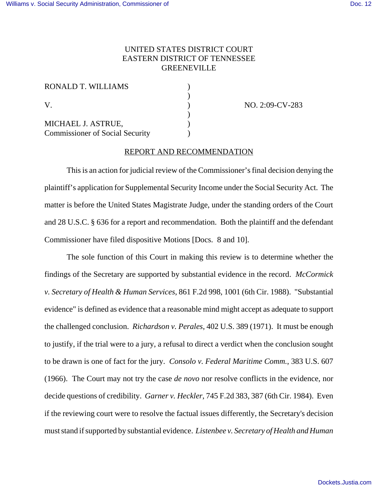## UNITED STATES DISTRICT COURT EASTERN DISTRICT OF TENNESSEE **GREENEVILLE**

| RONALD T. WILLIAMS<br>V<br>MICHAEL J. ASTRUE, |  |
|-----------------------------------------------|--|
|                                               |  |
|                                               |  |

(a) NO. 2:09-CV-283

## REPORT AND RECOMMENDATION

This is an action for judicial review of the Commissioner's final decision denying the plaintiff's application for Supplemental Security Income under the Social Security Act. The matter is before the United States Magistrate Judge, under the standing orders of the Court and 28 U.S.C. § 636 for a report and recommendation. Both the plaintiff and the defendant Commissioner have filed dispositive Motions [Docs. 8 and 10].

The sole function of this Court in making this review is to determine whether the findings of the Secretary are supported by substantial evidence in the record. *McCormick v. Secretary of Health & Human Services*, 861 F.2d 998, 1001 (6th Cir. 1988). "Substantial evidence" is defined as evidence that a reasonable mind might accept as adequate to support the challenged conclusion. *Richardson v. Perales*, 402 U.S. 389 (1971). It must be enough to justify, if the trial were to a jury, a refusal to direct a verdict when the conclusion sought to be drawn is one of fact for the jury. *Consolo v. Federal Maritime Comm.*, 383 U.S. 607 (1966). The Court may not try the case *de novo* nor resolve conflicts in the evidence, nor decide questions of credibility. *Garner v. Heckler*, 745 F.2d 383, 387 (6th Cir. 1984). Even if the reviewing court were to resolve the factual issues differently, the Secretary's decision must stand if supported by substantial evidence. *Listenbee v. Secretary of Health and Human*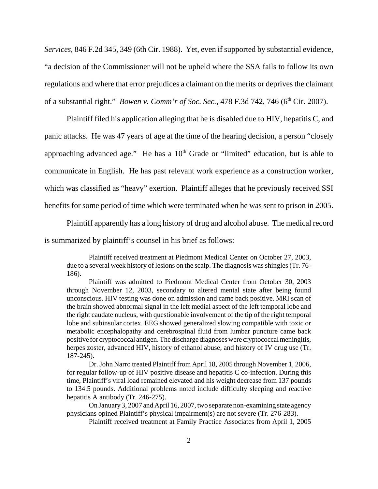*Services*, 846 F.2d 345, 349 (6th Cir. 1988).Yet, even if supported by substantial evidence, "a decision of the Commissioner will not be upheld where the SSA fails to follow its own regulations and where that error prejudices a claimant on the merits or deprives the claimant of a substantial right." *Bowen v. Comm'r of Soc. Sec.*, 478 F.3d 742, 746 (6<sup>th</sup> Cir. 2007).

Plaintiff filed his application alleging that he is disabled due to HIV, hepatitis C, and panic attacks. He was 47 years of age at the time of the hearing decision, a person "closely approaching advanced age." He has a  $10<sup>th</sup>$  Grade or "limited" education, but is able to communicate in English. He has past relevant work experience as a construction worker, which was classified as "heavy" exertion. Plaintiff alleges that he previously received SSI benefits for some period of time which were terminated when he was sent to prison in 2005.

Plaintiff apparently has a long history of drug and alcohol abuse. The medical record is summarized by plaintiff's counsel in his brief as follows:

Plaintiff received treatment at Piedmont Medical Center on October 27, 2003, due to a several week history of lesions on the scalp. The diagnosis was shingles (Tr. 76- 186).

Plaintiff was admitted to Piedmont Medical Center from October 30, 2003 through November 12, 2003, secondary to altered mental state after being found unconscious. HIV testing was done on admission and came back positive. MRI scan of the brain showed abnormal signal in the left medial aspect of the left temporal lobe and the right caudate nucleus, with questionable involvement of the tip of the right temporal lobe and subinsular cortex. EEG showed generalized slowing compatible with toxic or metabolic encephalopathy and cerebrospinal fluid from lumbar puncture came back positive for cryptococcal antigen. The discharge diagnoses were cryptococcal meningitis, herpes zoster, advanced HIV, history of ethanol abuse, and history of IV drug use (Tr. 187-245).

Dr. John Narro treated Plaintiff from April 18, 2005 through November 1, 2006, for regular follow-up of HIV positive disease and hepatitis C co-infection. During this time, Plaintiff's viral load remained elevated and his weight decrease from 137 pounds to 134.5 pounds. Additional problems noted include difficulty sleeping and reactive hepatitis A antibody (Tr. 246-275).

On January 3, 2007 and April 16, 2007, two separate non-examining state agency physicians opined Plaintiff's physical impairment(s) are not severe (Tr. 276-283).

Plaintiff received treatment at Family Practice Associates from April 1, 2005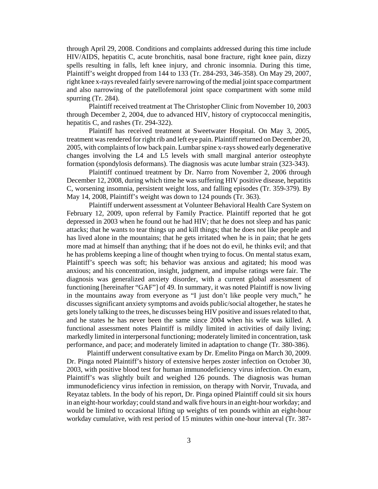through April 29, 2008. Conditions and complaints addressed during this time include HIV/AIDS, hepatitis C, acute bronchitis, nasal bone fracture, right knee pain, dizzy spells resulting in falls, left knee injury, and chronic insomnia. During this time, Plaintiff's weight dropped from 144 to 133 (Tr. 284-293, 346-358). On May 29, 2007, right knee x-rays revealed fairly severe narrowing of the medial joint space compartment and also narrowing of the patellofemoral joint space compartment with some mild spurring (Tr. 284).

Plaintiff received treatment at The Christopher Clinic from November 10, 2003 through December 2, 2004, due to advanced HIV, history of cryptococcal meningitis, hepatitis C, and rashes (Tr. 294-322).

Plaintiff has received treatment at Sweetwater Hospital. On May 3, 2005, treatment was rendered for right rib and left eye pain. Plaintiff returned on December 20, 2005, with complaints of low back pain. Lumbar spine x-rays showed early degenerative changes involving the L4 and L5 levels with small marginal anterior osteophyte formation (spondylosis deformans). The diagnosis was acute lumbar strain (323-343).

Plaintiff continued treatment by Dr. Narro from November 2, 2006 through December 12, 2008, during which time he was suffering HIV positive disease, hepatitis C, worsening insomnia, persistent weight loss, and falling episodes (Tr. 359-379). By May 14, 2008, Plaintiff's weight was down to 124 pounds (Tr. 363).

Plaintiff underwent assessment at Volunteer Behavioral Health Care System on February 12, 2009, upon referral by Family Practice. Plaintiff reported that he got depressed in 2003 when he found out he had HIV; that he does not sleep and has panic attacks; that he wants to tear things up and kill things; that he does not like people and has lived alone in the mountains; that he gets irritated when he is in pain; that he gets more mad at himself than anything; that if he does not do evil, he thinks evil; and that he has problems keeping a line of thought when trying to focus. On mental status exam, Plaintiff's speech was soft; his behavior was anxious and agitated; his mood was anxious; and his concentration, insight, judgment, and impulse ratings were fair. The diagnosis was generalized anxiety disorder, with a current global assessment of functioning [hereinafter "GAF"] of 49. In summary, it was noted Plaintiff is now living in the mountains away from everyone as "I just don't like people very much," he discusses significant anxiety symptoms and avoids public/social altogether, he states he gets lonely talking to the trees, he discusses being HIV positive and issues related to that, and he states he has never been the same since 2004 when his wife was killed. A functional assessment notes Plaintiff is mildly limited in activities of daily living; markedly limited in interpersonal functioning; moderately limited in concentration, task performance, and pace; and moderately limited in adaptation to change (Tr. 380-386).

 Plaintiff underwent consultative exam by Dr. Emelito Pinga on March 30, 2009. Dr. Pinga noted Plaintiff's history of extensive herpes zoster infection on October 30, 2003, with positive blood test for human immunodeficiency virus infection. On exam, Plaintiff's was slightly built and weighed 126 pounds. The diagnosis was human immunodeficiency virus infection in remission, on therapy with Norvir, Truvada, and Reyataz tablets. In the body of his report, Dr. Pinga opined Plaintiff could sit six hours in an eight-hour workday; could stand and walk five hours in an eight-hour workday; and would be limited to occasional lifting up weights of ten pounds within an eight-hour workday cumulative, with rest period of 15 minutes within one-hour interval (Tr. 387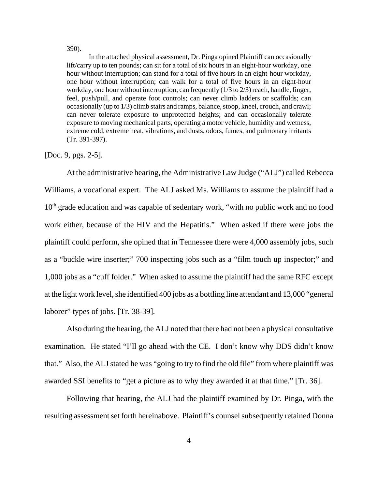390).

In the attached physical assessment, Dr. Pinga opined Plaintiff can occasionally lift/carry up to ten pounds; can sit for a total of six hours in an eight-hour workday, one hour without interruption; can stand for a total of five hours in an eight-hour workday, one hour without interruption; can walk for a total of five hours in an eight-hour workday, one hour without interruption; can frequently  $(1/3 \text{ to } 2/3)$  reach, handle, finger, feel, push/pull, and operate foot controls; can never climb ladders or scaffolds; can occasionally (up to 1/3) climb stairs and ramps, balance, stoop, kneel, crouch, and crawl; can never tolerate exposure to unprotected heights; and can occasionally tolerate exposure to moving mechanical parts, operating a motor vehicle, humidity and wetness, extreme cold, extreme heat, vibrations, and dusts, odors, fumes, and pulmonary irritants (Tr. 391-397).

[Doc. 9, pgs. 2-5].

At the administrative hearing, the Administrative Law Judge ("ALJ") called Rebecca Williams, a vocational expert. The ALJ asked Ms. Williams to assume the plaintiff had a  $10<sup>th</sup>$  grade education and was capable of sedentary work, "with no public work and no food work either, because of the HIV and the Hepatitis." When asked if there were jobs the plaintiff could perform, she opined that in Tennessee there were 4,000 assembly jobs, such as a "buckle wire inserter;" 700 inspecting jobs such as a "film touch up inspector;" and 1,000 jobs as a "cuff folder." When asked to assume the plaintiff had the same RFC except at the light work level, she identified 400 jobs as a bottling line attendant and 13,000 "general laborer" types of jobs. [Tr. 38-39].

Also during the hearing, the ALJ noted that there had not been a physical consultative examination. He stated "I'll go ahead with the CE. I don't know why DDS didn't know that." Also, the ALJ stated he was "going to try to find the old file" from where plaintiff was awarded SSI benefits to "get a picture as to why they awarded it at that time." [Tr. 36].

Following that hearing, the ALJ had the plaintiff examined by Dr. Pinga, with the resulting assessment set forth hereinabove. Plaintiff's counsel subsequently retained Donna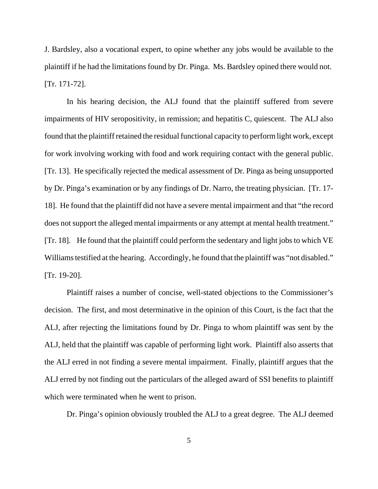J. Bardsley, also a vocational expert, to opine whether any jobs would be available to the plaintiff if he had the limitations found by Dr. Pinga. Ms. Bardsley opined there would not. [Tr. 171-72].

In his hearing decision, the ALJ found that the plaintiff suffered from severe impairments of HIV seropositivity, in remission; and hepatitis C, quiescent. The ALJ also found that the plaintiff retained the residual functional capacity to perform light work, except for work involving working with food and work requiring contact with the general public. [Tr. 13]. He specifically rejected the medical assessment of Dr. Pinga as being unsupported by Dr. Pinga's examination or by any findings of Dr. Narro, the treating physician. [Tr. 17- 18]. He found that the plaintiff did not have a severe mental impairment and that "the record does not support the alleged mental impairments or any attempt at mental health treatment." [Tr. 18]. He found that the plaintiff could perform the sedentary and light jobs to which VE Williams testified at the hearing. Accordingly, he found that the plaintiff was "not disabled." [Tr. 19-20].

Plaintiff raises a number of concise, well-stated objections to the Commissioner's decision. The first, and most determinative in the opinion of this Court, is the fact that the ALJ, after rejecting the limitations found by Dr. Pinga to whom plaintiff was sent by the ALJ, held that the plaintiff was capable of performing light work. Plaintiff also asserts that the ALJ erred in not finding a severe mental impairment. Finally, plaintiff argues that the ALJ erred by not finding out the particulars of the alleged award of SSI benefits to plaintiff which were terminated when he went to prison.

Dr. Pinga's opinion obviously troubled the ALJ to a great degree. The ALJ deemed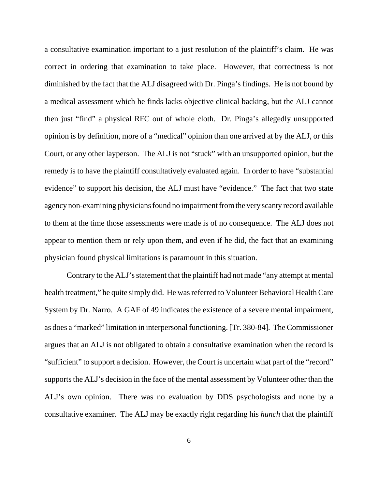a consultative examination important to a just resolution of the plaintiff's claim. He was correct in ordering that examination to take place. However, that correctness is not diminished by the fact that the ALJ disagreed with Dr. Pinga's findings. He is not bound by a medical assessment which he finds lacks objective clinical backing, but the ALJ cannot then just "find" a physical RFC out of whole cloth. Dr. Pinga's allegedly unsupported opinion is by definition, more of a "medical" opinion than one arrived at by the ALJ, or this Court, or any other layperson. The ALJ is not "stuck" with an unsupported opinion, but the remedy is to have the plaintiff consultatively evaluated again. In order to have "substantial evidence" to support his decision, the ALJ must have "evidence." The fact that two state agency non-examining physicians found no impairment from the very scanty record available to them at the time those assessments were made is of no consequence. The ALJ does not appear to mention them or rely upon them, and even if he did, the fact that an examining physician found physical limitations is paramount in this situation.

Contrary to the ALJ's statement that the plaintiff had not made "any attempt at mental health treatment," he quite simply did. He was referred to Volunteer Behavioral Health Care System by Dr. Narro. A GAF of 49 indicates the existence of a severe mental impairment, as does a "marked" limitation in interpersonal functioning. [Tr. 380-84]. The Commissioner argues that an ALJ is not obligated to obtain a consultative examination when the record is "sufficient" to support a decision. However, the Court is uncertain what part of the "record" supports the ALJ's decision in the face of the mental assessment by Volunteer other than the ALJ's own opinion. There was no evaluation by DDS psychologists and none by a consultative examiner. The ALJ may be exactly right regarding his *hunch* that the plaintiff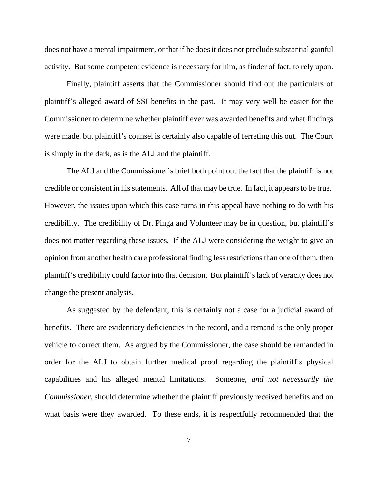does not have a mental impairment, or that if he does it does not preclude substantial gainful activity. But some competent evidence is necessary for him, as finder of fact, to rely upon.

Finally, plaintiff asserts that the Commissioner should find out the particulars of plaintiff's alleged award of SSI benefits in the past. It may very well be easier for the Commissioner to determine whether plaintiff ever was awarded benefits and what findings were made, but plaintiff's counsel is certainly also capable of ferreting this out. The Court is simply in the dark, as is the ALJ and the plaintiff.

The ALJ and the Commissioner's brief both point out the fact that the plaintiff is not credible or consistent in his statements. All of that may be true. In fact, it appears to be true. However, the issues upon which this case turns in this appeal have nothing to do with his credibility. The credibility of Dr. Pinga and Volunteer may be in question, but plaintiff's does not matter regarding these issues. If the ALJ were considering the weight to give an opinion from another health care professional finding less restrictions than one of them, then plaintiff's credibility could factor into that decision. But plaintiff's lack of veracity does not change the present analysis.

As suggested by the defendant, this is certainly not a case for a judicial award of benefits. There are evidentiary deficiencies in the record, and a remand is the only proper vehicle to correct them. As argued by the Commissioner, the case should be remanded in order for the ALJ to obtain further medical proof regarding the plaintiff's physical capabilities and his alleged mental limitations. Someone, *and not necessarily the Commissioner*, should determine whether the plaintiff previously received benefits and on what basis were they awarded. To these ends, it is respectfully recommended that the